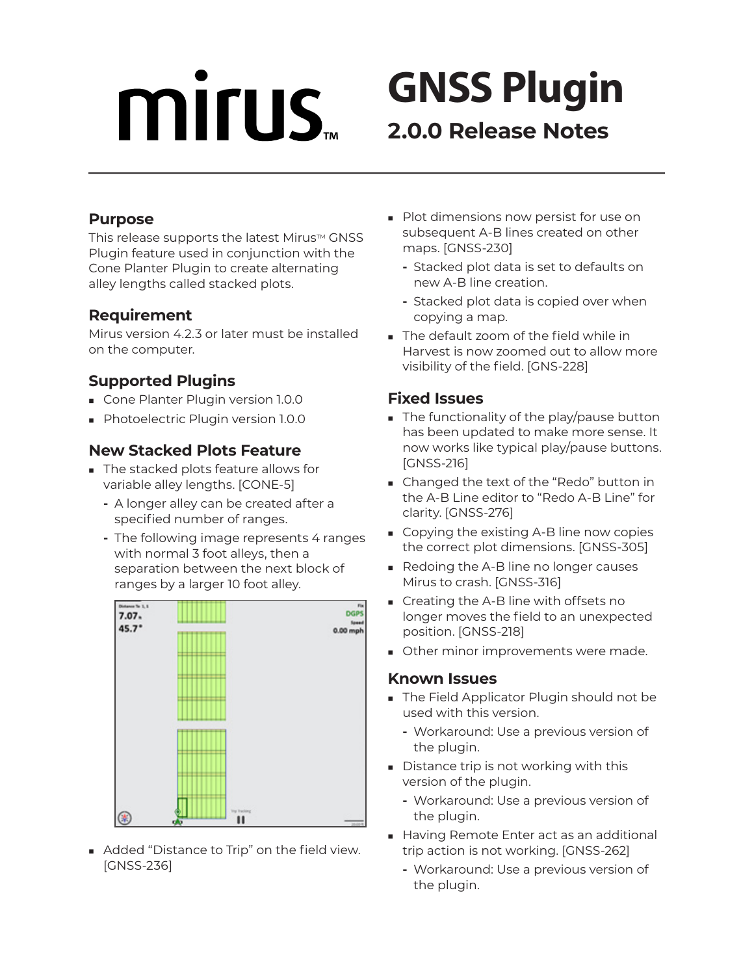# **MITUS**

# **GNSS Plugin 2.0.0 Release Notes**

#### **Purpose**

This release supports the latest Mirus™ GNSS Plugin feature used in conjunction with the Cone Planter Plugin to create alternating alley lengths called stacked plots.

#### **Requirement**

Mirus version 4.2.3 or later must be installed on the computer.

## **Supported Plugins**

- **Cone Planter Plugin version 1.0.0**
- **Photoelectric Plugin version 1.0.0**

### **New Stacked Plots Feature**

- The stacked plots feature allows for variable alley lengths. [CONE-5]
	- **-** A longer alley can be created after a specified number of ranges.
	- **-** The following image represents 4 ranges with normal 3 foot alleys, then a separation between the next block of ranges by a larger 10 foot alley.



Added "Distance to Trip" on the field view. [GNSS-236]

- **Plot dimensions now persist for use on** subsequent A-B lines created on other maps. [GNSS-230]
	- **-** Stacked plot data is set to defaults on new A-B line creation.
	- **-** Stacked plot data is copied over when copying a map.
- The default zoom of the field while in Harvest is now zoomed out to allow more visibility of the field. [GNS-228]

### **Fixed Issues**

- The functionality of the play/pause button has been updated to make more sense. It now works like typical play/pause buttons. [GNSS-216]
- Changed the text of the "Redo" button in the A-B Line editor to "Redo A-B Line" for clarity. [GNSS-276]
- Copying the existing A-B line now copies the correct plot dimensions. [GNSS-305]
- Redoing the A-B line no longer causes Mirus to crash. [GNSS-316]
- Creating the A-B line with offsets no longer moves the field to an unexpected position. [GNSS-218]
- **Other minor improvements were made.**

#### **Known Issues**

- The Field Applicator Plugin should not be used with this version.
	- **-** Workaround: Use a previous version of the plugin.
- Distance trip is not working with this version of the plugin.
	- **-** Workaround: Use a previous version of the plugin.
- Having Remote Enter act as an additional trip action is not working. [GNSS-262]
	- **-** Workaround: Use a previous version of the plugin.